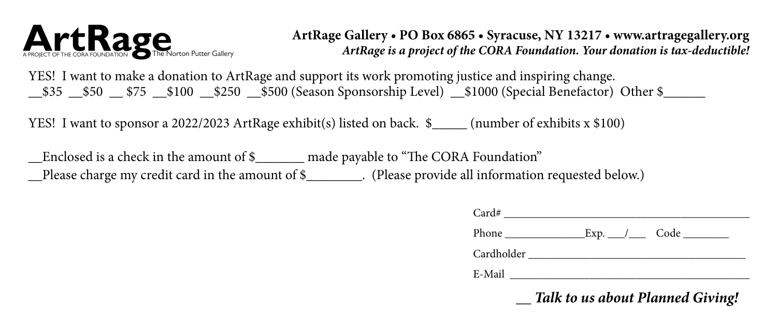

**ArtRage Gallery • PO Box 6865 • Syracuse, NY 13217 • www.artragegallery.org** *ArtRage is a project of the CORA Foundation. Your donation is tax-deductible!*

YES! I want to make a donation to ArtRage and support its work promoting justice and inspiring change.  $\_$ \$35  $\_$ \$50  $\_$ \$75  $\_$ \$100  $\_$ \$250  $\_$ \$500 (Season Sponsorship Level)  $\_$ \$1000 (Special Benefactor) Other \$

YES! I want to sponsor a 2022/2023 ArtRage exhibit(s) listed on back. \$\_\_\_\_\_ (number of exhibits x \$100)

\_\_Enclosed is a check in the amount of \$\_\_\_\_\_\_\_ made payable to "The CORA Foundation" \_\_Please charge my credit card in the amount of \$\_\_\_\_\_\_\_\_. (Please provide all information requested below.)

| Talk to us about Planned Giving!                          |
|-----------------------------------------------------------|
|                                                           |
|                                                           |
| Phone $\sqrt{2\pi}$ Exp. $\sqrt{2\pi}$ Code $\sqrt{2\pi}$ |
|                                                           |